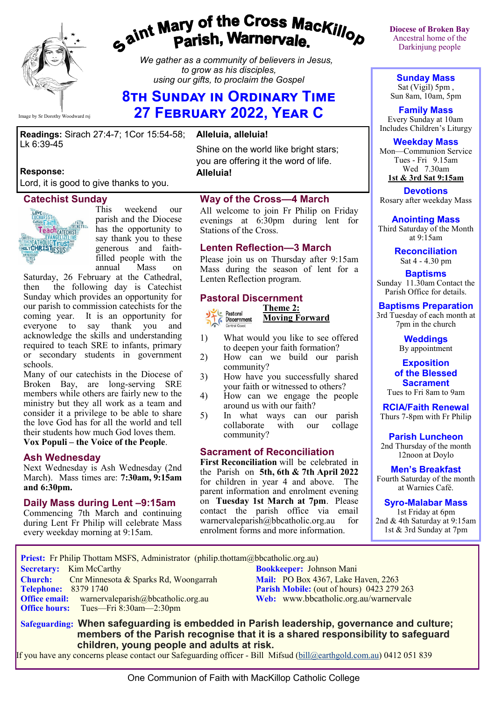

# gaint Mary of the Cross Mackillop<br>g<sup>aint</sup> Parish, Warnervale.

*We gather as a community of believers in Jesus, to grow as his disciples, using our gifts, to proclaim the Gospel*

# **8th Sunday in Ordinary Time 27 February 2022, Year C**

**Alleluia, alleluia!**

**Readings:** Sirach 27:4-7; 1Cor 15:54-58; Lk 6:39-45

#### **Response:**

Lord, it is good to give thanks to you.

#### **Catechist Sunday**



This weekend our parish and the Diocese has the opportunity to say thank you to these generous and faithfilled people with the<br>annual Mass on annual Mass on

Saturday, 26 February at the Cathedral, then the following day is Catechist Sunday which provides an opportunity for our parish to commission catechists for the coming year. It is an opportunity for everyone to say thank you and acknowledge the skills and understanding required to teach SRE to infants, primary or secondary students in government schools.

Many of our catechists in the Diocese of Broken Bay, are long-serving SRE members while others are fairly new to the ministry but they all work as a team and consider it a privilege to be able to share the love God has for all the world and tell their students how much God loves them. **Vox Populi – the Voice of the People**.

## **Ash Wednesday**

Next Wednesday is Ash Wednesday (2nd March). Mass times are: **7:30am, 9:15am and 6:30pm.**

#### **Daily Mass during Lent –9:15am**

Commencing 7th March and continuing during Lent Fr Philip will celebrate Mass every weekday morning at 9:15am.

Shine on the world like bright stars; you are offering it the word of life. **Alleluia!**

#### **Way of the Cross—4 March**

All welcome to join Fr Philip on Friday evenings at 6:30pm during lent for Stations of the Cross.

#### **Lenten Reflection—3 March**

Please join us on Thursday after 9:15am Mass during the season of lent for a Lenten Reflection program.





- 1) What would you like to see offered to deepen your faith formation?
- 2) How can we build our parish community?
- 3) How have you successfully shared your faith or witnessed to others?
- 4) How can we engage the people around us with our faith?
- 5) In what ways can our parish collaborate with our collage community?

#### **Sacrament of Reconciliation**

**First Reconciliation** will be celebrated in the Parish on **5th, 6th & 7th April 2022** for children in year 4 and above. The parent information and enrolment evening on **Tuesday 1st March at 7pm**. Please contact the parish office via email warnervaleparish@bbcatholic.org.au for enrolment forms and more information.

**Diocese of Broken Bay**  Ancestral home of the Darkinjung people

**Sunday Mass** Sat (Vigil) 5pm , Sun 8am, 10am, 5pm

**Family Mass**  Every Sunday at 10am Includes Children's Liturgy

#### **Weekday Mass**

Mon—Communion Service Tues - Fri 9.15am Wed 7.30am **1st & 3rd Sat 9:15am**

**Devotions** Rosary after weekday Mass

**Anointing Mass**

Third Saturday of the Month at 9:15am

**Reconciliation** Sat 4 - 4.30 pm

**Baptisms** Sunday 11.30am Contact the Parish Office for details.

#### **Baptisms Preparation**

3rd Tuesday of each month at 7pm in the church

> **Weddings**  By appointment

#### **Exposition of the Blessed Sacrament**

Tues to Fri 8am to 9am

**RCIA/Faith Renewal**  Thurs 7-8pm with Fr Philip

**Parish Luncheon** 2nd Thursday of the month 12noon at Doylo

**Men's Breakfast** Fourth Saturday of the month

at Warnies Café.

**Syro-Malabar Mass**

1st Friday at 6pm 2nd & 4th Saturday at 9:15am 1st & 3rd Sunday at 7pm

 **Priest:** Fr Philip Thottam MSFS, Administrator (philip.thottam@bbcatholic.org.au)

**Secretary:** Kim McCarthy **Bookkeeper:** Johnson Mani **Church:** Cnr Minnesota & Sparks Rd, Woongarrah **Mail: PO Box 4367, Lake Haven, 2263**<br> **Parish Mobile:** (out of hours) 0423 279

**Office hours:** Tues—Fri 8:30am—2:30pm

**Parish Mobile:** (out of hours) 0423 279 263 **Office email:** warnervaleparish@bbcatholic.org.au **Web:** [www.bbcatholic.org.au/warnervale](https://www.bbcatholic.org.au/warnervale)

 **Safeguarding: When safeguarding is embedded in Parish leadership, governance and culture; members of the Parish recognise that it is a shared responsibility to safeguard children, young people and adults at risk.**

If you have any concerns please contact our Safeguarding officer - Bill Mifsud ([bill@earthgold.com.au\)](mailto:bill@earthgold.com.au) 0412 051 839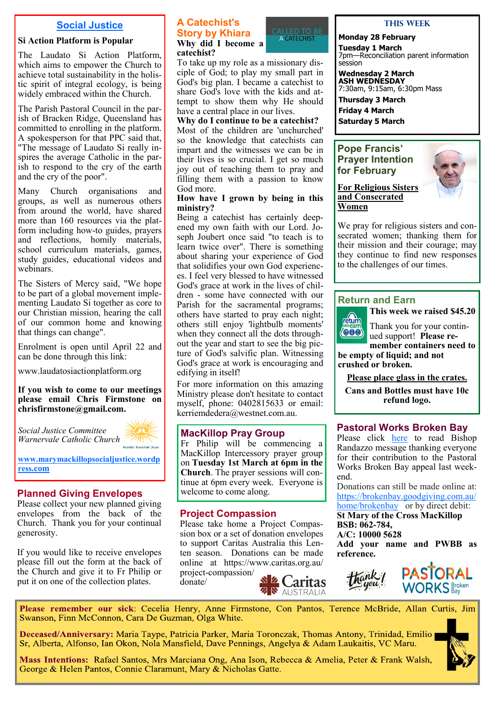#### **Social Justice**

#### **Si Action Platform is Popular**

The Laudato Si Action Platform, which aims to empower the Church to achieve total sustainability in the holistic spirit of integral ecology, is being widely embraced within the Church.

The Parish Pastoral Council in the parish of Bracken Ridge, Queensland has committed to enrolling in the platform. A spokesperson for that PPC said that, "The message of Laudato Si really inspires the average Catholic in the parish to respond to the cry of the earth and the cry of the poor".

Many Church organisations and groups, as well as numerous others from around the world, have shared more than 160 resources via the platform including how-to guides, prayers and reflections, homily materials, school curriculum materials, games, study guides, educational videos and webinars.

The Sisters of Mercy said, "We hope to be part of a global movement implementing Laudato Si together as core to our Christian mission, hearing the call of our common home and knowing that things can change".

Enrolment is open until April 22 and can be done through this link:

[www.laudatosiactionplatform.org](file:///C:/Users/kim.mccarthy/AppData/Local/Microsoft/Windows/INetCache/Content.Outlook/HA0JAUA3/www.laudatosiactionplatform.org)

**If you wish to come to our meetings please email Chris Firmstone on chrisfirmstone@gmail.com.**

*Social Justice Committee Warnervale Catholic Church* 



**[www.marymackillopsocialjustice.wordp](http://www.marymackillopsocialjustice.wordpress.com) ress[.com](http://www.marymackillopsocialjustice.wordpress.com)**

#### **Planned Giving Envelopes**

Please collect your new planned giving envelopes from the back of the Church. Thank you for your continual generosity.

If you would like to receive envelopes please fill out the form at the back of the Church and give it to Fr Philip or put it on one of the collection plates.

#### **A Catechist's Story by Khiara Why did I become a catechist?**



To take up my role as a missionary disciple of God; to play my small part in God's big plan. I became a catechist to share God's love with the kids and attempt to show them why He should have a central place in our lives.

**Why do I continue to be a catechist?** Most of the children are 'unchurched' so the knowledge that catechists can impart and the witnesses we can be in

their lives is so crucial. I get so much joy out of teaching them to pray and filling them with a passion to know God more.

#### **How have I grown by being in this ministry?**

Being a catechist has certainly deepened my own faith with our Lord. Joseph Joubert once said "to teach is to learn twice over". There is something about sharing your experience of God that solidifies your own God experiences. I feel very blessed to have witnessed God's grace at work in the lives of children - some have connected with our Parish for the sacramental programs; others have started to pray each night; others still enjoy 'lightbulb moments' when they connect all the dots throughout the year and start to see the big picture of God's salvific plan. Witnessing God's grace at work is encouraging and edifying in itself!

For more information on this amazing Ministry please don't hesitate to contact myself, phone: 0402815633 or email: kerriemdedera@westnet.com.au.

#### **MacKillop Pray Group**

Fr Philip will be commencing a MacKillop Intercessory prayer group on **Tuesday 1st March at 6pm in the Church**. The prayer sessions will continue at 6pm every week. Everyone is welcome to come along.

#### **Project Compassion**

Please take home a Project Compassion box or a set of donation envelopes to support Caritas Australia this Lenten season. Donations can be made online at https://www.caritas.org.au/ project-compassion/

donate/



#### **This Week**

#### **Monday 28 February**

**Tuesday 1 March** 7pm—Reconciliation parent information session

**Wednesday 2 March ASH WEDNESDAY** 7:30am, 9:15am, 6:30pm Mass

**Thursday 3 March** 

**Friday 4 March Saturday 5 March** 

#### **Pope Francis' Prayer Intention for February**



**For Religious Sisters and Consecrated Women**

We pray for religious sisters and consecrated women; thanking them for their mission and their courage; may they continue to find new responses to the challenges of our times.

#### **Return and Earn**



**This week we raised \$45.20**

Thank you for your continued support! **Please re-**

**member containers need to be empty of liquid; and not crushed or broken.** 

**Please place glass in the crates.**

**Cans and Bottles must have 10c refund logo.** 

#### **Pastoral Works Broken Bay**

Please click [here](https://www.bbcatholic.org.au/about/bishop) to read Bishop Randazzo message thanking everyone for their contribution to the Pastoral Works Broken Bay appeal last weekend.

Donations can still be made online at: [https://brokenbay.goodgiving.com.au/](https://brokenbay.goodgiving.com.au/home/brokenbay) [home/brokenbay](https://brokenbay.goodgiving.com.au/home/brokenbay)or by direct debit:

**St Mary of the Cross MacKillop BSB: 062-784,** 

**A/C: 10000 5628** 

**Add your name and PWBB as reference.** 



Please remember our sick: Cecelia Henry, Anne Firmstone, Con Pantos, Terence McBride, Allan Curtis, Jim Swanson, Finn McConnon, Cara De Guzman, Olga White.

Deceased/Anniversary: Maria Taype, Patricia Parker, Maria Toronczak, Thomas Antony, Trinidad, Emilio Sr, Alberta, Alfonso, Ian Okon, Nola Mansfield, Dave Pennings, Angelya & Adam Laukaitis, VC Maru.

Mass Intentions: Rafael Santos, Mrs Marciana Ong, Ana Ison, Rebecca & Amelia, Peter & Frank Walsh, George & Helen Pantos, Connie Claramunt, Mary & Nicholas Gatte.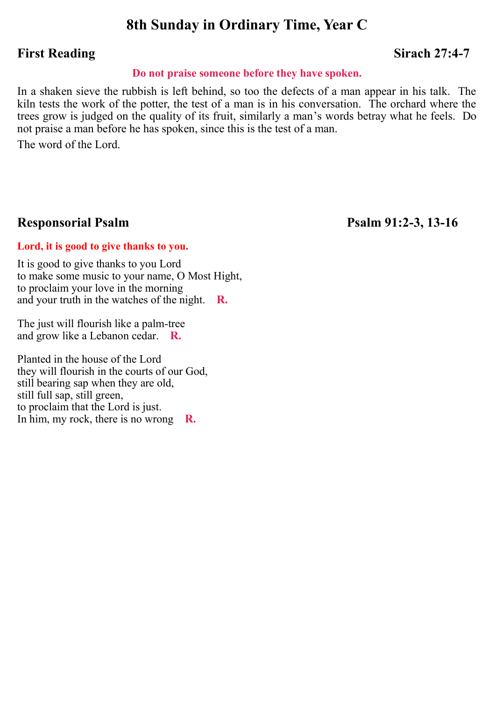# **8th Sunday in Ordinary Time, Year C**

# **First Reading** Sirach 27:4-7

### **Do not praise someone before they have spoken.**

In a shaken sieve the rubbish is left behind, so too the defects of a man appear in his talk. The kiln tests the work of the potter, the test of a man is in his conversation. The orchard where the trees grow is judged on the quality of its fruit, similarly a man's words betray what he feels. Do not praise a man before he has spoken, since this is the test of a man.

The word of the Lord.

## **Responsorial Psalm Psalm 91:2-3, 13-16**

#### **Lord, it is good to give thanks to you.**

It is good to give thanks to you Lord to make some music to your name, O Most Hight, to proclaim your love in the morning and your truth in the watches of the night. **R.**

The just will flourish like a palm-tree and grow like a Lebanon cedar. **R.**

Planted in the house of the Lord they will flourish in the courts of our God, still bearing sap when they are old, still full sap, still green, to proclaim that the Lord is just. In him, my rock, there is no wrong **R.**